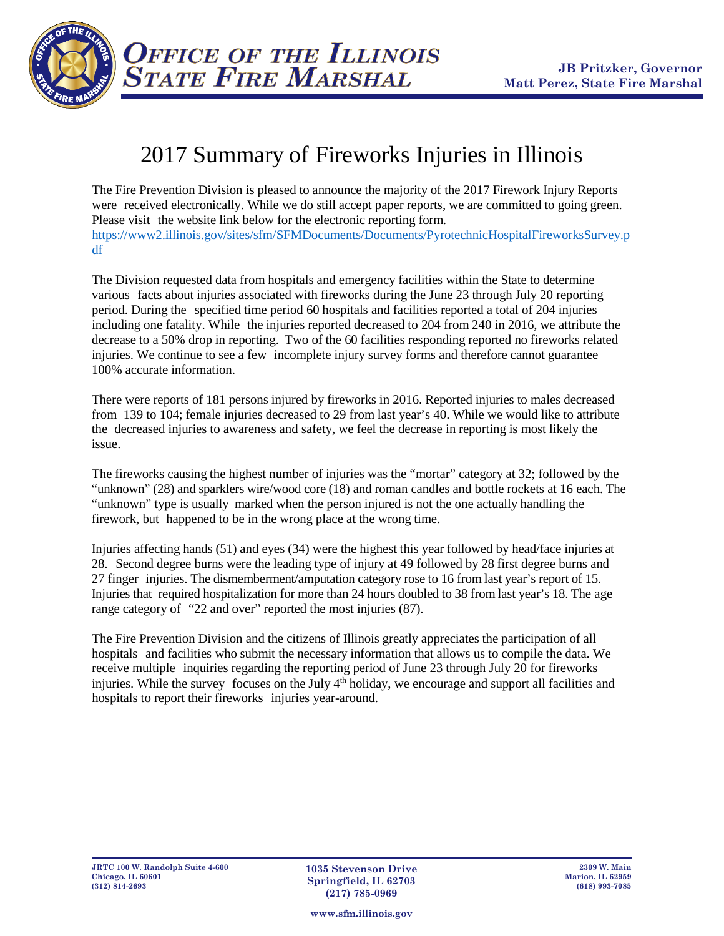

**OFFICE OF THE ILLINOIS**<br>STATE FIRE MARSHAL

## 2017 Summary of Fireworks Injuries in Illinois

The Fire Prevention Division is pleased to announce the majority of the 2017 Firework Injury Reports were received electronically. While we do still accept paper reports, we are committed to going green. Please visit the website link below for the electronic reporting form. [https://www2.illinois.gov/sites/sfm/SFMDocuments/Documents/PyrotechnicHospitalFireworksSurvey.p](https://www2.illinois.gov/sites/sfm/SFMDocuments/Documents/PyrotechnicHospitalFireworksSurvey.pdf) [df](https://www2.illinois.gov/sites/sfm/SFMDocuments/Documents/PyrotechnicHospitalFireworksSurvey.pdf)

The Division requested data from hospitals and emergency facilities within the State to determine various facts about injuries associated with fireworks during the June 23 through July 20 reporting period. During the specified time period 60 hospitals and facilities reported a total of 204 injuries including one fatality. While the injuries reported decreased to 204 from 240 in 2016, we attribute the decrease to a 50% drop in reporting. Two of the 60 facilities responding reported no fireworks related injuries. We continue to see a few incomplete injury survey forms and therefore cannot guarantee 100% accurate information.

There were reports of 181 persons injured by fireworks in 2016. Reported injuries to males decreased from 139 to 104; female injuries decreased to 29 from last year's 40. While we would like to attribute the decreased injuries to awareness and safety, we feel the decrease in reporting is most likely the issue.

The fireworks causing the highest number of injuries was the "mortar" category at 32; followed by the "unknown" (28) and sparklers wire/wood core (18) and roman candles and bottle rockets at 16 each. The "unknown" type is usually marked when the person injured is not the one actually handling the firework, but happened to be in the wrong place at the wrong time.

Injuries affecting hands (51) and eyes (34) were the highest this year followed by head/face injuries at 28. Second degree burns were the leading type of injury at 49 followed by 28 first degree burns and 27 finger injuries. The dismemberment/amputation category rose to 16 from last year's report of 15. Injuries that required hospitalization for more than 24 hours doubled to 38 from last year's 18. The age range category of "22 and over" reported the most injuries (87).

The Fire Prevention Division and the citizens of Illinois greatly appreciates the participation of all hospitals and facilities who submit the necessary information that allows us to compile the data. We receive multiple inquiries regarding the reporting period of June 23 through July 20 for fireworks injuries. While the survey focuses on the July  $4<sup>th</sup>$  holiday, we encourage and support all facilities and hospitals to report their fireworks injuries year-around.

**www.sfm.illinois.gov**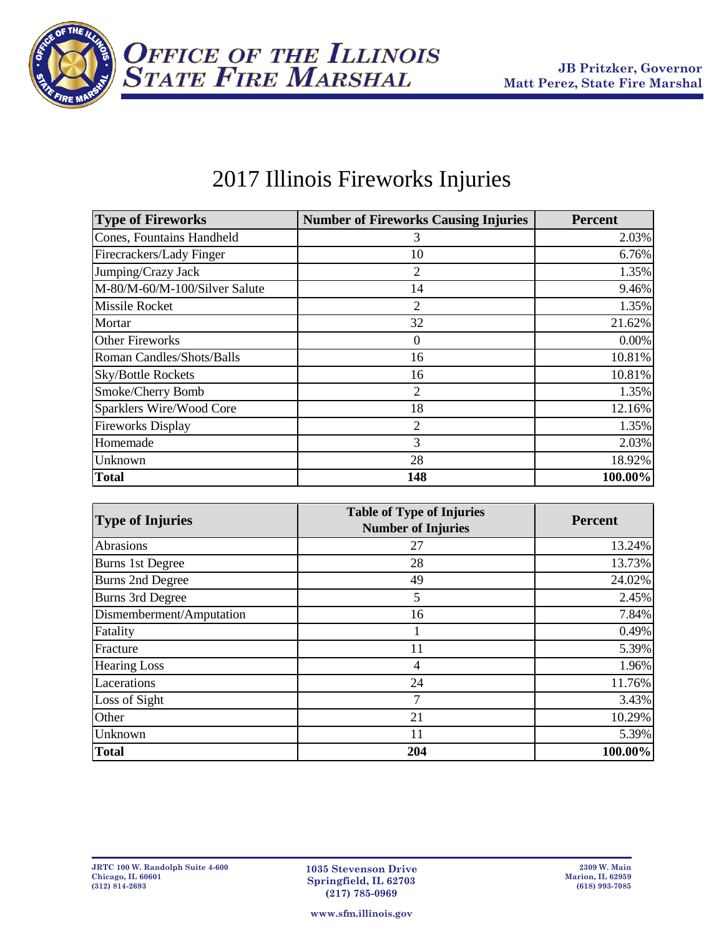

## 2017 Illinois Fireworks Injuries

| <b>Type of Fireworks</b>      | <b>Number of Fireworks Causing Injuries</b> | <b>Percent</b> |
|-------------------------------|---------------------------------------------|----------------|
| Cones, Fountains Handheld     | 3                                           | 2.03%          |
| Firecrackers/Lady Finger      | 10                                          | 6.76%          |
| Jumping/Crazy Jack            | 2                                           | 1.35%          |
| M-80/M-60/M-100/Silver Salute | 14                                          | 9.46%          |
| <b>Missile Rocket</b>         | 2                                           | 1.35%          |
| Mortar                        | 32                                          | 21.62%         |
| Other Fireworks               | 0                                           | $0.00\%$       |
| Roman Candles/Shots/Balls     | 16                                          | 10.81%         |
| <b>Sky/Bottle Rockets</b>     | 16                                          | 10.81%         |
| Smoke/Cherry Bomb             | $\overline{2}$                              | 1.35%          |
| Sparklers Wire/Wood Core      | 18                                          | 12.16%         |
| <b>Fireworks Display</b>      | 2                                           | 1.35%          |
| Homemade                      | 3                                           | 2.03%          |
| Unknown                       | 28                                          | 18.92%         |
| <b>Total</b>                  | 148                                         | 100.00%        |

| <b>Type of Injuries</b>  | <b>Table of Type of Injuries</b><br><b>Number of Injuries</b> | <b>Percent</b> |
|--------------------------|---------------------------------------------------------------|----------------|
| <b>Abrasions</b>         | 27                                                            | 13.24%         |
| <b>Burns 1st Degree</b>  | 28                                                            | 13.73%         |
| <b>Burns 2nd Degree</b>  | 49                                                            | 24.02%         |
| <b>Burns 3rd Degree</b>  | 5                                                             | 2.45%          |
| Dismemberment/Amputation | 16                                                            | 7.84%          |
| Fatality                 |                                                               | 0.49%          |
| Fracture                 | 11                                                            | 5.39%          |
| <b>Hearing Loss</b>      | 4                                                             | 1.96%          |
| Lacerations              | 24                                                            | 11.76%         |
| Loss of Sight            | 7                                                             | 3.43%          |
| Other                    | 21                                                            | 10.29%         |
| Unknown                  | 11                                                            | 5.39%          |
| <b>Total</b>             | 204                                                           | 100.00%        |

**www.sfm.illinois.gov**